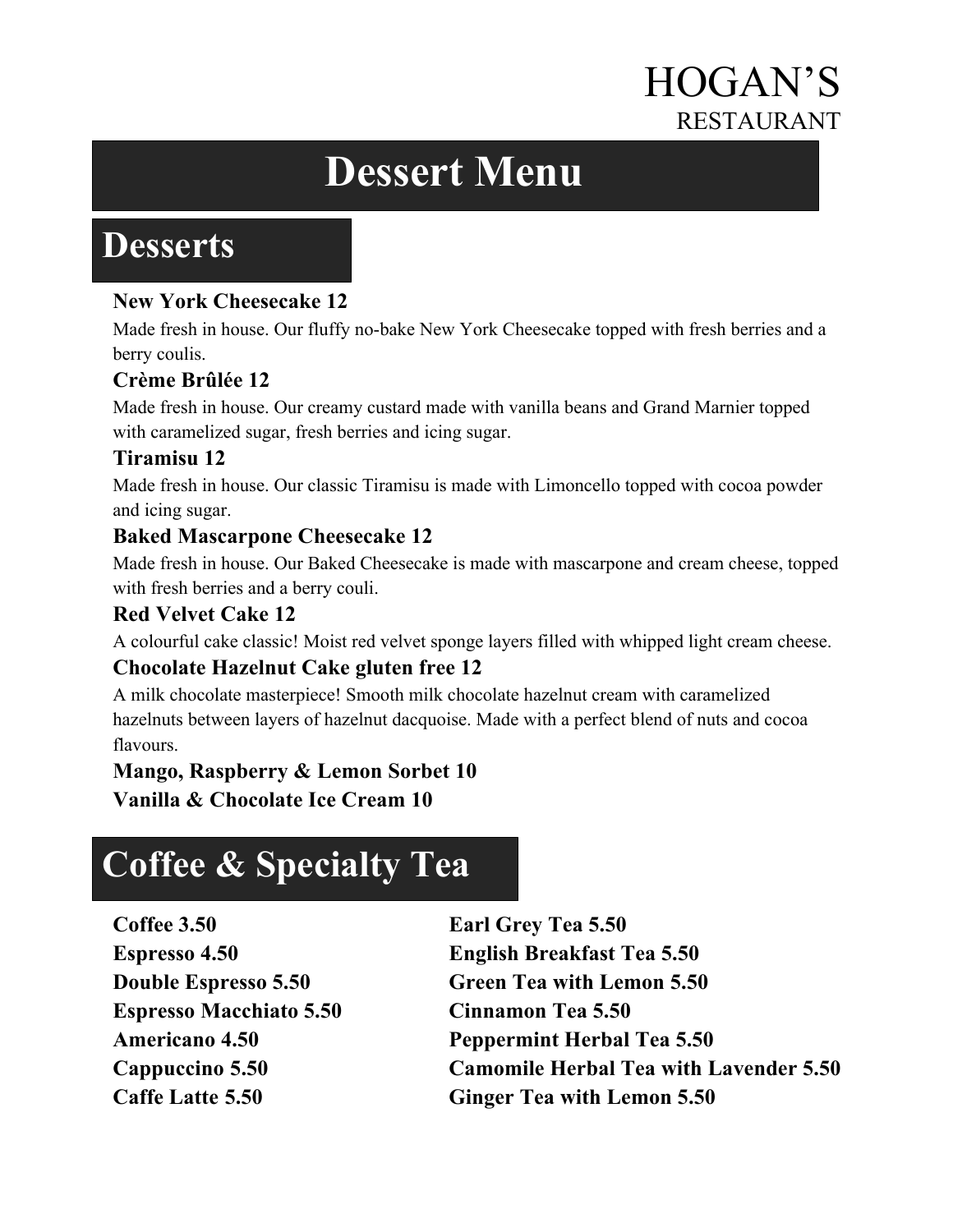# HOGAN'S RESTAURANT

# **Dessert Menu**

## **Desserts**

#### **New York Cheesecake 12**

Made fresh in house. Our fluffy no-bake New York Cheesecake topped with fresh berries and a berry coulis.

#### **Crème Brûlée 12**

Made fresh in house. Our creamy custard made with vanilla beans and Grand Marnier topped with caramelized sugar, fresh berries and icing sugar.

#### **Tiramisu 12**

Made fresh in house. Our classic Tiramisu is made with Limoncello topped with cocoa powder and icing sugar.

#### **Baked Mascarpone Cheesecake 12**

Made fresh in house. Our Baked Cheesecake is made with mascarpone and cream cheese, topped with fresh berries and a berry couli.

#### **Red Velvet Cake 12**

A colourful cake classic! Moist red velvet sponge layers filled with whipped light cream cheese.

#### **Chocolate Hazelnut Cake gluten free 12**

A milk chocolate masterpiece! Smooth milk chocolate hazelnut cream with caramelized hazelnuts between layers of hazelnut dacquoise. Made with a perfect blend of nuts and cocoa flavours.

#### **Mango, Raspberry & Lemon Sorbet 10**

**Vanilla & Chocolate Ice Cream 10** 

# **Coffee & Specialty Tea**

**Coffee 3.50 Earl Grey Tea 5.50 Espresso Macchiato 5.50 Cinnamon Tea 5.50**

**Espresso 4.50 English Breakfast Tea 5.50 Double Espresso 5.50 Green Tea with Lemon 5.50 Americano 4.50 Peppermint Herbal Tea 5.50 Cappuccino 5.50 Camomile Herbal Tea with Lavender 5.50 Caffe Latte 5.50 Ginger Tea with Lemon 5.50**